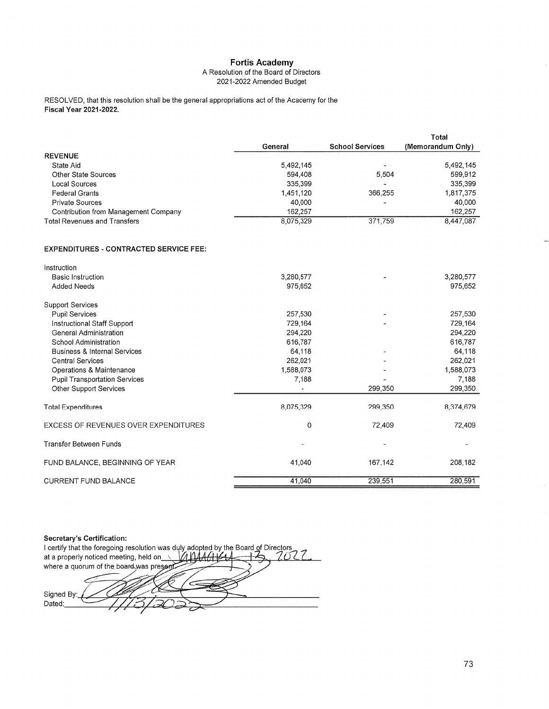### A Resolution of the Board of Directors 2021-2022 Amended Budget

RESOLVED, that this resolution shall be the general appropriations act of the Academy for the **Fiscal Year 2021-2022.** 

|                                      | General   | <b>School Services</b> | Total<br>(Memorandum Only) |
|--------------------------------------|-----------|------------------------|----------------------------|
| <b>REVENUE</b>                       |           |                        |                            |
| State Aid                            | 5.492.145 |                        | 5 492 145                  |
| Other State Sources                  | 594.408   | 5.504                  | 599,912                    |
| Local Sources                        | 335,399   |                        | 335,399                    |
| <b>Federal Grants</b>                | 1,451,120 | 366,255                | 1,817,375                  |
| <b>Private Sources</b>               | 40,000    |                        | 40,000                     |
| Contribution from Management Company | 162.257   |                        | 162,257                    |
| <b>Total Revenues and Transfers</b>  | 8,075,329 | 371,759                | 8,447,087                  |

#### **EXPENDITURES - CONTRACTED SERVICE FEE:**

| Instruction                             |           |         |           |
|-----------------------------------------|-----------|---------|-----------|
| <b>Basic Instruction</b>                | 3,280,577 |         | 3,280,577 |
| <b>Added Needs</b>                      | 975,652   |         | 975,652   |
| <b>Support Services</b>                 |           |         |           |
| <b>Pupil Services</b>                   | 257,530   |         | 257,530   |
| Instructional Staff Support             | 729,164   |         | 729,164   |
| General Administration                  | 294,220   |         | 294,220   |
| School Administration                   | 616,787   |         | 616,787   |
| <b>Business &amp; Internal Services</b> | 64,118    |         | 64,118    |
| <b>Central Services</b>                 | 262,021   |         | 262,021   |
| Operations & Maintenance                | 1,588,073 |         | 1,588,073 |
| <b>Pupil Transportation Services</b>    | 7,188     |         | 7,188     |
| Other Support Services                  |           | 299,350 | 299,350   |
| <b>Total Expenditures</b>               | 8,075,329 | 299,350 | 8,374,679 |
| EXCESS OF REVENUES OVER EXPENDITURES    | 0         | 72,409  | 72,409    |
| <b>Transfer Between Funds</b>           |           |         |           |
| FUND BALANCE, BEGINNING OF YEAR         | 41,040    | 167,142 | 208,182   |
| <b>CURRENT FUND BALANCE</b>             | 41,040    | 239,551 | 280,591   |

Secretary's Certification: Secretary's Certification:<br>I certify that the foregoing resolution was duly adopted by the Board of Directors<br> $160.144444$ at a properly noticed meeting, held on  $\overline{\phantom{a}}$  $444444$ where a quorum of the board was present Signed By: Dated: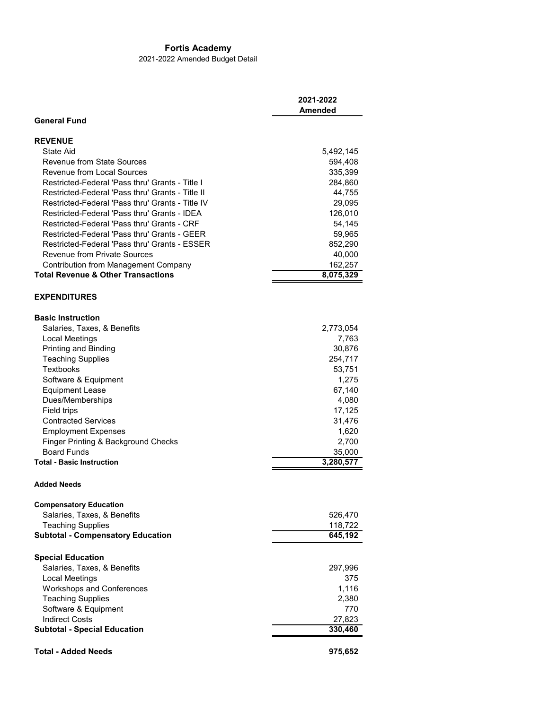2021-2022 Amended Budget Detail

|                                                  | 2021-2022<br>Amended |
|--------------------------------------------------|----------------------|
| <b>General Fund</b>                              |                      |
|                                                  |                      |
| <b>REVENUE</b><br>State Aid                      | 5,492,145            |
| Revenue from State Sources                       | 594,408              |
| Revenue from Local Sources                       | 335,399              |
| Restricted-Federal 'Pass thru' Grants - Title I  | 284,860              |
| Restricted-Federal 'Pass thru' Grants - Title II | 44,755               |
| Restricted-Federal 'Pass thru' Grants - Title IV | 29,095               |
| Restricted-Federal 'Pass thru' Grants - IDEA     | 126,010              |
| Restricted-Federal 'Pass thru' Grants - CRF      | 54,145               |
| Restricted-Federal 'Pass thru' Grants - GEER     | 59,965               |
| Restricted-Federal 'Pass thru' Grants - ESSER    | 852,290              |
| <b>Revenue from Private Sources</b>              | 40,000               |
| <b>Contribution from Management Company</b>      | 162,257              |
| <b>Total Revenue &amp; Other Transactions</b>    | 8,075,329            |
| <b>EXPENDITURES</b>                              |                      |
| <b>Basic Instruction</b>                         |                      |
| Salaries, Taxes, & Benefits                      | 2,773,054            |
| Local Meetings                                   | 7,763                |
| Printing and Binding                             | 30,876               |
| <b>Teaching Supplies</b>                         | 254,717              |
| <b>Textbooks</b>                                 | 53,751               |
| Software & Equipment                             | 1,275                |
| <b>Equipment Lease</b>                           | 67,140               |
| Dues/Memberships                                 | 4,080                |
| Field trips                                      | 17,125               |
| <b>Contracted Services</b>                       | 31,476               |
| <b>Employment Expenses</b>                       | 1,620                |
| Finger Printing & Background Checks              | 2,700                |
| <b>Board Funds</b>                               | 35,000               |
| <b>Total - Basic Instruction</b>                 | 3,280,577            |
| <b>Added Needs</b>                               |                      |
|                                                  |                      |
| <b>Compensatory Education</b>                    |                      |
| Salaries, Taxes, & Benefits                      | 526,470              |
| <b>Teaching Supplies</b>                         | 118,722              |
| <b>Subtotal - Compensatory Education</b>         | 645,192              |
| <b>Special Education</b>                         |                      |
| Salaries, Taxes, & Benefits                      | 297,996              |
| Local Meetings                                   | 375                  |
| <b>Workshops and Conferences</b>                 | 1,116                |
| <b>Teaching Supplies</b>                         | 2,380                |
| Software & Equipment                             | 770                  |
| <b>Indirect Costs</b>                            | 27,823               |
| <b>Subtotal - Special Education</b>              | 330,460              |
| <b>Total - Added Needs</b>                       | 975,652              |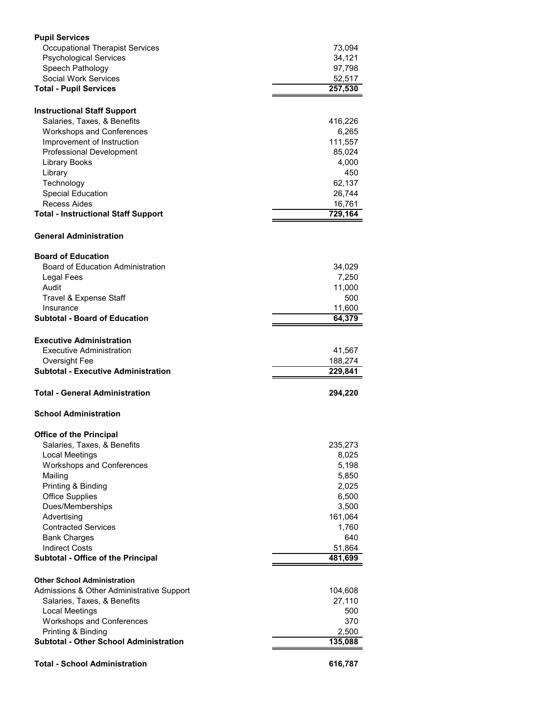| <b>Pupil Services</b>                                          |                   |
|----------------------------------------------------------------|-------------------|
| <b>Occupational Therapist Services</b>                         | 73,094            |
| <b>Psychological Services</b>                                  | 34,121            |
| Speech Pathology<br>Social Work Services                       | 97,798            |
| <b>Total - Pupil Services</b>                                  | 52,517<br>257,530 |
|                                                                |                   |
| <b>Instructional Staff Support</b>                             |                   |
| Salaries, Taxes, & Benefits                                    | 416,226           |
| <b>Workshops and Conferences</b>                               | 6,265             |
| Improvement of Instruction                                     | 111,557           |
| <b>Professional Development</b>                                | 85,024            |
| Library Books<br>Library                                       | 4,000<br>450      |
| Technology                                                     | 62,137            |
| <b>Special Education</b>                                       | 26,744            |
| Recess Aides                                                   | 16,761            |
| <b>Total - Instructional Staff Support</b>                     | 729,164           |
| <b>General Administration</b>                                  |                   |
|                                                                |                   |
| <b>Board of Education</b><br>Board of Education Administration | 34,029            |
| Legal Fees                                                     | 7,250             |
| Audit                                                          | 11,000            |
| Travel & Expense Staff                                         | 500               |
| Insurance                                                      | 11,600            |
| <b>Subtotal - Board of Education</b>                           | 64,379            |
| <b>Executive Administration</b>                                |                   |
|                                                                |                   |
| Executive Administration                                       |                   |
| Oversight Fee                                                  | 41,567<br>188,274 |
| <b>Subtotal - Executive Administration</b>                     | 229,841           |
| <b>Total - General Administration</b>                          | 294,220           |
| <b>School Administration</b>                                   |                   |
|                                                                |                   |
| <b>Office of the Principal</b><br>Salaries, Taxes, & Benefits  | 235,273           |
| <b>Local Meetings</b>                                          | 8,025             |
| <b>Workshops and Conferences</b>                               | 5,198             |
| Mailing                                                        | 5,850             |
| Printing & Binding                                             | 2,025             |
| <b>Office Supplies</b>                                         | 6,500             |
| Dues/Memberships                                               | 3,500             |
| Advertising<br><b>Contracted Services</b>                      | 161,064<br>1,760  |
| <b>Bank Charges</b>                                            | 640               |
| <b>Indirect Costs</b>                                          | 51,864            |
| Subtotal - Office of the Principal                             | 481,699           |
| <b>Other School Administration</b>                             |                   |
| Admissions & Other Administrative Support                      | 104,608           |
| Salaries, Taxes, & Benefits                                    | 27,110            |
| <b>Local Meetings</b>                                          | 500               |
| <b>Workshops and Conferences</b>                               | 370               |
| Printing & Binding                                             | 2,500             |
| <b>Subtotal - Other School Administration</b>                  | 135,088           |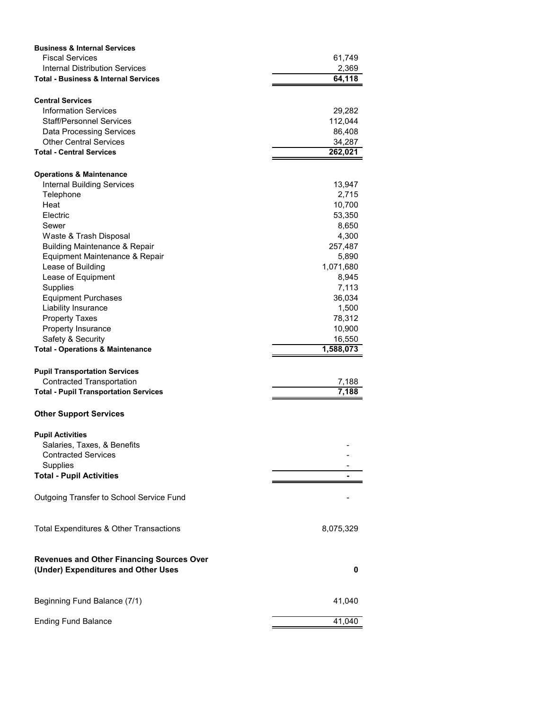| <b>Business &amp; Internal Services</b>                                                 |           |
|-----------------------------------------------------------------------------------------|-----------|
| <b>Fiscal Services</b>                                                                  | 61,749    |
| <b>Internal Distribution Services</b>                                                   | 2,369     |
| <b>Total - Business &amp; Internal Services</b>                                         | 64,118    |
|                                                                                         |           |
| <b>Central Services</b>                                                                 |           |
| <b>Information Services</b>                                                             | 29,282    |
| Staff/Personnel Services                                                                | 112,044   |
| Data Processing Services                                                                | 86,408    |
| <b>Other Central Services</b>                                                           | 34,287    |
| <b>Total - Central Services</b>                                                         | 262,021   |
| <b>Operations &amp; Maintenance</b>                                                     |           |
| <b>Internal Building Services</b>                                                       | 13,947    |
| Telephone                                                                               | 2,715     |
| Heat                                                                                    |           |
|                                                                                         | 10,700    |
| Electric                                                                                | 53,350    |
| Sewer                                                                                   | 8,650     |
| Waste & Trash Disposal                                                                  | 4,300     |
| <b>Building Maintenance &amp; Repair</b>                                                | 257,487   |
| Equipment Maintenance & Repair                                                          | 5,890     |
| Lease of Building                                                                       | 1,071,680 |
| Lease of Equipment                                                                      | 8,945     |
| Supplies                                                                                | 7,113     |
| <b>Equipment Purchases</b>                                                              | 36,034    |
| Liability Insurance                                                                     | 1,500     |
| <b>Property Taxes</b>                                                                   | 78,312    |
| Property Insurance                                                                      | 10,900    |
| Safety & Security                                                                       | 16,550    |
| <b>Total - Operations &amp; Maintenance</b>                                             | 1,588,073 |
|                                                                                         |           |
| <b>Pupil Transportation Services</b>                                                    |           |
| <b>Contracted Transportation</b>                                                        | 7,188     |
| <b>Total - Pupil Transportation Services</b>                                            | 7,188     |
| <b>Other Support Services</b>                                                           |           |
| <b>Pupil Activities</b>                                                                 |           |
| Salaries, Taxes, & Benefits                                                             |           |
| <b>Contracted Services</b>                                                              |           |
| <b>Supplies</b>                                                                         |           |
| <b>Total - Pupil Activities</b>                                                         |           |
|                                                                                         |           |
| Outgoing Transfer to School Service Fund                                                |           |
| Total Expenditures & Other Transactions                                                 | 8,075,329 |
|                                                                                         |           |
| <b>Revenues and Other Financing Sources Over</b><br>(Under) Expenditures and Other Uses | 0         |
|                                                                                         |           |
| Beginning Fund Balance (7/1)                                                            | 41,040    |
| <b>Ending Fund Balance</b>                                                              | 41,040    |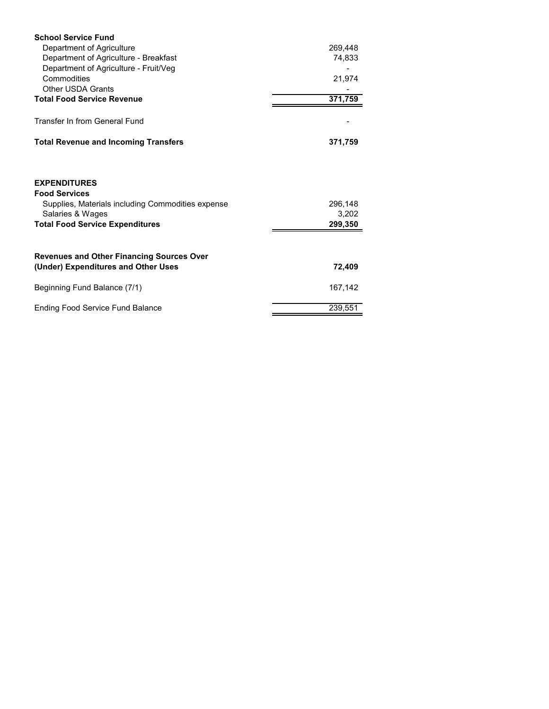| <b>School Service Fund</b>                                                                       |         |  |
|--------------------------------------------------------------------------------------------------|---------|--|
| Department of Agriculture                                                                        | 269,448 |  |
| Department of Agriculture - Breakfast                                                            | 74,833  |  |
| Department of Agriculture - Fruit/Veg                                                            |         |  |
| Commodities                                                                                      | 21,974  |  |
| <b>Other USDA Grants</b>                                                                         |         |  |
| <b>Total Food Service Revenue</b>                                                                | 371,759 |  |
| <b>Transfer In from General Fund</b>                                                             |         |  |
| <b>Total Revenue and Incoming Transfers</b>                                                      | 371,759 |  |
| <b>EXPENDITURES</b><br><b>Food Services</b><br>Supplies, Materials including Commodities expense | 296,148 |  |
| Salaries & Wages                                                                                 | 3,202   |  |
| <b>Total Food Service Expenditures</b>                                                           | 299,350 |  |
| <b>Revenues and Other Financing Sources Over</b>                                                 |         |  |
| (Under) Expenditures and Other Uses                                                              | 72,409  |  |
| Beginning Fund Balance (7/1)                                                                     | 167,142 |  |
| <b>Ending Food Service Fund Balance</b>                                                          | 239,551 |  |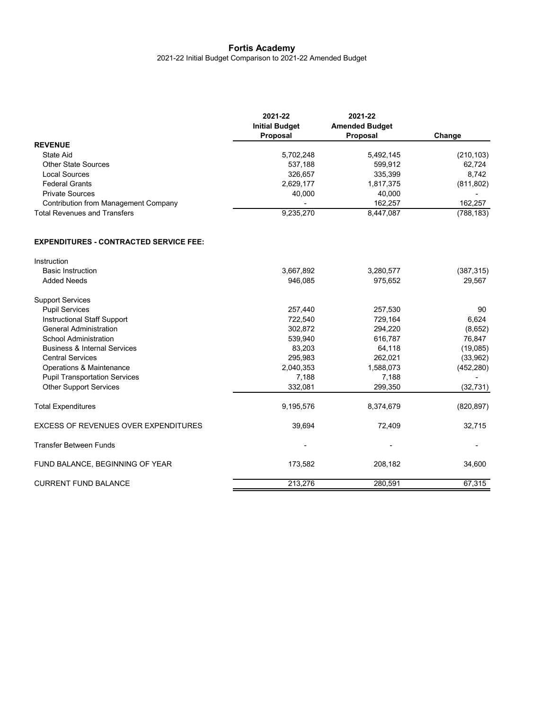2021-22 Initial Budget Comparison to 2021-22 Amended Budget

|                                               | 2021-22<br><b>Initial Budget</b><br>Proposal | 2021-22<br><b>Amended Budget</b><br><b>Proposal</b> | Change     |
|-----------------------------------------------|----------------------------------------------|-----------------------------------------------------|------------|
| <b>REVENUE</b>                                |                                              |                                                     |            |
| State Aid                                     | 5,702,248                                    | 5,492,145                                           | (210, 103) |
| <b>Other State Sources</b>                    | 537,188                                      | 599,912                                             | 62,724     |
| <b>Local Sources</b>                          | 326,657                                      | 335,399                                             | 8,742      |
| <b>Federal Grants</b>                         | 2,629,177                                    | 1,817,375                                           | (811, 802) |
| <b>Private Sources</b>                        | 40,000                                       | 40,000                                              |            |
| <b>Contribution from Management Company</b>   |                                              | 162,257                                             | 162,257    |
| <b>Total Revenues and Transfers</b>           | 9,235,270                                    | 8,447,087                                           | (788, 183) |
| <b>EXPENDITURES - CONTRACTED SERVICE FEE:</b> |                                              |                                                     |            |
| Instruction                                   |                                              |                                                     |            |
| <b>Basic Instruction</b>                      | 3,667,892                                    | 3,280,577                                           | (387, 315) |
| <b>Added Needs</b>                            | 946,085                                      | 975,652                                             | 29,567     |
| <b>Support Services</b>                       |                                              |                                                     |            |
| <b>Pupil Services</b>                         | 257,440                                      | 257,530                                             | 90         |
| Instructional Staff Support                   | 722,540                                      | 729,164                                             | 6,624      |
| <b>General Administration</b>                 | 302,872                                      | 294,220                                             | (8,652)    |
| School Administration                         | 539,940                                      | 616,787                                             | 76,847     |
| <b>Business &amp; Internal Services</b>       | 83,203                                       | 64,118                                              | (19,085)   |
| <b>Central Services</b>                       | 295,983                                      | 262,021                                             | (33,962)   |
| Operations & Maintenance                      | 2,040,353                                    | 1,588,073                                           | (452, 280) |
| <b>Pupil Transportation Services</b>          | 7,188                                        | 7,188                                               |            |
| <b>Other Support Services</b>                 | 332,081                                      | 299,350                                             | (32, 731)  |
| <b>Total Expenditures</b>                     | 9,195,576                                    | 8,374,679                                           | (820, 897) |
| <b>EXCESS OF REVENUES OVER EXPENDITURES</b>   | 39,694                                       | 72,409                                              | 32,715     |
| <b>Transfer Between Funds</b>                 |                                              |                                                     |            |
| FUND BALANCE, BEGINNING OF YEAR               | 173,582                                      | 208,182                                             | 34,600     |
| <b>CURRENT FUND BALANCE</b>                   | 213,276                                      | 280,591                                             | 67,315     |